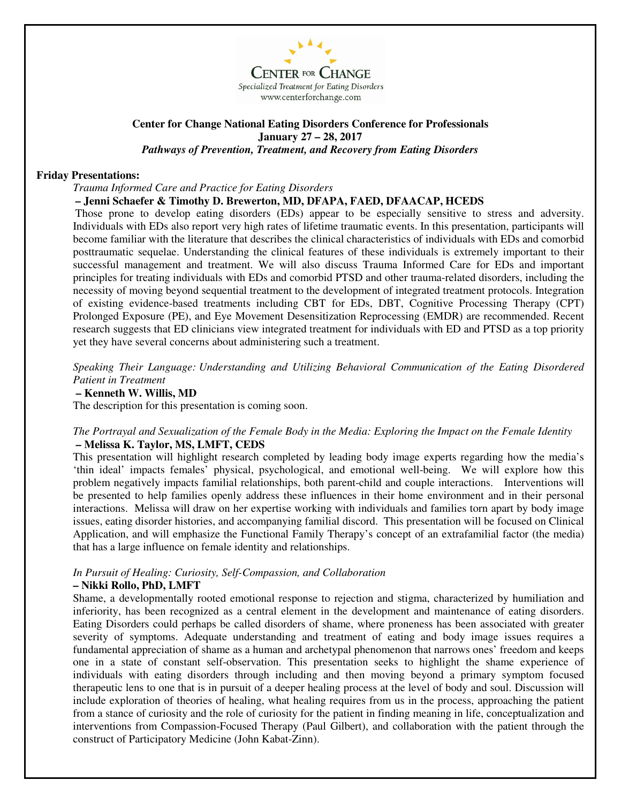

## **Center for Change National Eating Disorders Conference for Professionals January 27 – 28, 2017**  *Pathways of Prevention, Treatment, and Recovery from Eating Disorders*

### **Friday Presentations:**

*Trauma Informed Care and Practice for Eating Disorders* 

### **– Jenni Schaefer & Timothy D. Brewerton, MD, DFAPA, FAED, DFAACAP, HCEDS**

Those prone to develop eating disorders (EDs) appear to be especially sensitive to stress and adversity. Individuals with EDs also report very high rates of lifetime traumatic events. In this presentation, participants will become familiar with the literature that describes the clinical characteristics of individuals with EDs and comorbid posttraumatic sequelae. Understanding the clinical features of these individuals is extremely important to their successful management and treatment. We will also discuss Trauma Informed Care for EDs and important principles for treating individuals with EDs and comorbid PTSD and other trauma-related disorders, including the necessity of moving beyond sequential treatment to the development of integrated treatment protocols. Integration of existing evidence-based treatments including CBT for EDs, DBT, Cognitive Processing Therapy (CPT) Prolonged Exposure (PE), and Eye Movement Desensitization Reprocessing (EMDR) are recommended. Recent research suggests that ED clinicians view integrated treatment for individuals with ED and PTSD as a top priority yet they have several concerns about administering such a treatment.

*Speaking Their Language: Understanding and Utilizing Behavioral Communication of the Eating Disordered Patient in Treatment* 

### **– Kenneth W. Willis, MD**

The description for this presentation is coming soon.

### *The Portrayal and Sexualization of the Female Body in the Media: Exploring the Impact on the Female Identity*  **– Melissa K. Taylor, MS, LMFT, CEDS**

This presentation will highlight research completed by leading body image experts regarding how the media's 'thin ideal' impacts females' physical, psychological, and emotional well-being. We will explore how this problem negatively impacts familial relationships, both parent-child and couple interactions. Interventions will be presented to help families openly address these influences in their home environment and in their personal interactions. Melissa will draw on her expertise working with individuals and families torn apart by body image issues, eating disorder histories, and accompanying familial discord. This presentation will be focused on Clinical Application, and will emphasize the Functional Family Therapy's concept of an extrafamilial factor (the media) that has a large influence on female identity and relationships.

# *In Pursuit of Healing: Curiosity, Self-Compassion, and Collaboration*

### **– Nikki Rollo, PhD, LMFT**

Shame, a developmentally rooted emotional response to rejection and stigma, characterized by humiliation and inferiority, has been recognized as a central element in the development and maintenance of eating disorders. Eating Disorders could perhaps be called disorders of shame, where proneness has been associated with greater severity of symptoms. Adequate understanding and treatment of eating and body image issues requires a fundamental appreciation of shame as a human and archetypal phenomenon that narrows ones' freedom and keeps one in a state of constant self-observation. This presentation seeks to highlight the shame experience of individuals with eating disorders through including and then moving beyond a primary symptom focused therapeutic lens to one that is in pursuit of a deeper healing process at the level of body and soul. Discussion will include exploration of theories of healing, what healing requires from us in the process, approaching the patient from a stance of curiosity and the role of curiosity for the patient in finding meaning in life, conceptualization and interventions from Compassion-Focused Therapy (Paul Gilbert), and collaboration with the patient through the construct of Participatory Medicine (John Kabat-Zinn).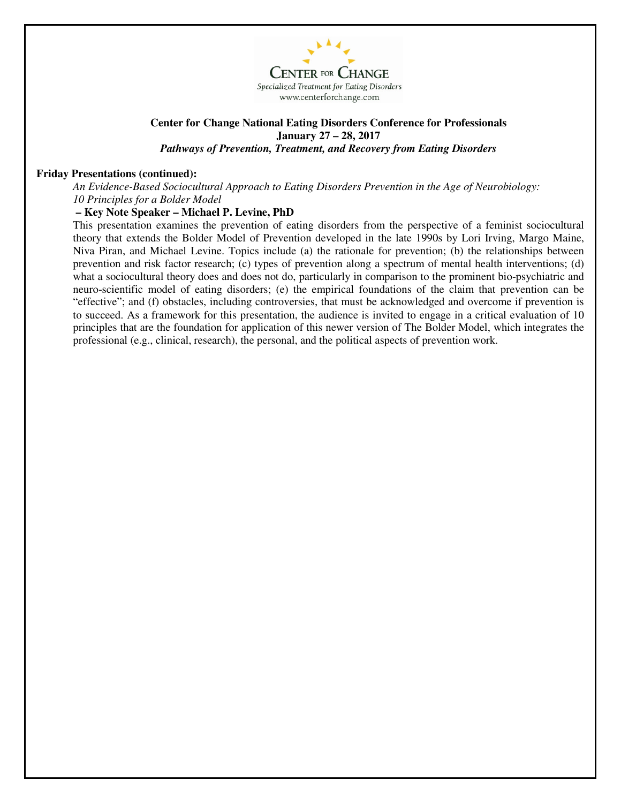

### **Center for Change National Eating Disorders Conference for Professionals January 27 – 28, 2017**  *Pathways of Prevention, Treatment, and Recovery from Eating Disorders*

### **Friday Presentations (continued):**

*An Evidence-Based Sociocultural Approach to Eating Disorders Prevention in the Age of Neurobiology: 10 Principles for a Bolder Model* 

# **– Key Note Speaker – Michael P. Levine, PhD**

This presentation examines the prevention of eating disorders from the perspective of a feminist sociocultural theory that extends the Bolder Model of Prevention developed in the late 1990s by Lori Irving, Margo Maine, Niva Piran, and Michael Levine. Topics include (a) the rationale for prevention; (b) the relationships between prevention and risk factor research; (c) types of prevention along a spectrum of mental health interventions; (d) what a sociocultural theory does and does not do, particularly in comparison to the prominent bio-psychiatric and neuro-scientific model of eating disorders; (e) the empirical foundations of the claim that prevention can be "effective"; and (f) obstacles, including controversies, that must be acknowledged and overcome if prevention is to succeed. As a framework for this presentation, the audience is invited to engage in a critical evaluation of 10 principles that are the foundation for application of this newer version of The Bolder Model, which integrates the professional (e.g., clinical, research), the personal, and the political aspects of prevention work.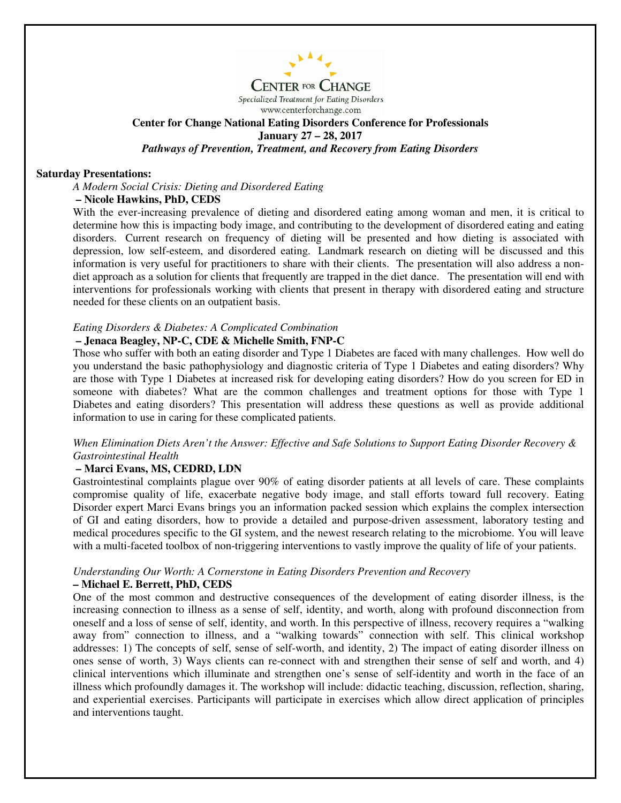

**CENTER FOR CHANGE** Specialized Treatment for Eating Disorders www.centerforchange.com

# **Center for Change National Eating Disorders Conference for Professionals January 27 – 28, 2017**  *Pathways of Prevention, Treatment, and Recovery from Eating Disorders*

### **Saturday Presentations:**

*A Modern Social Crisis: Dieting and Disordered Eating* 

### **– Nicole Hawkins, PhD, CEDS**

With the ever-increasing prevalence of dieting and disordered eating among woman and men, it is critical to determine how this is impacting body image, and contributing to the development of disordered eating and eating disorders. Current research on frequency of dieting will be presented and how dieting is associated with depression, low self-esteem, and disordered eating. Landmark research on dieting will be discussed and this information is very useful for practitioners to share with their clients. The presentation will also address a nondiet approach as a solution for clients that frequently are trapped in the diet dance. The presentation will end with interventions for professionals working with clients that present in therapy with disordered eating and structure needed for these clients on an outpatient basis.

### *Eating Disorders & Diabetes: A Complicated Combination*

### **– Jenaca Beagley, NP-C, CDE & Michelle Smith, FNP-C**

Those who suffer with both an eating disorder and Type 1 Diabetes are faced with many challenges. How well do you understand the basic pathophysiology and diagnostic criteria of Type 1 Diabetes and eating disorders? Why are those with Type 1 Diabetes at increased risk for developing eating disorders? How do you screen for ED in someone with diabetes? What are the common challenges and treatment options for those with Type 1 Diabetes and eating disorders? This presentation will address these questions as well as provide additional information to use in caring for these complicated patients.

### *When Elimination Diets Aren't the Answer: Effective and Safe Solutions to Support Eating Disorder Recovery & Gastrointestinal Health*

### **– Marci Evans, MS, CEDRD, LDN**

Gastrointestinal complaints plague over 90% of eating disorder patients at all levels of care. These complaints compromise quality of life, exacerbate negative body image, and stall efforts toward full recovery. Eating Disorder expert Marci Evans brings you an information packed session which explains the complex intersection of GI and eating disorders, how to provide a detailed and purpose-driven assessment, laboratory testing and medical procedures specific to the GI system, and the newest research relating to the microbiome. You will leave with a multi-faceted toolbox of non-triggering interventions to vastly improve the quality of life of your patients.

### *Understanding Our Worth: A Cornerstone in Eating Disorders Prevention and Recovery*  **– Michael E. Berrett, PhD, CEDS**

One of the most common and destructive consequences of the development of eating disorder illness, is the increasing connection to illness as a sense of self, identity, and worth, along with profound disconnection from oneself and a loss of sense of self, identity, and worth. In this perspective of illness, recovery requires a "walking away from" connection to illness, and a "walking towards" connection with self. This clinical workshop addresses: 1) The concepts of self, sense of self-worth, and identity, 2) The impact of eating disorder illness on ones sense of worth, 3) Ways clients can re-connect with and strengthen their sense of self and worth, and 4) clinical interventions which illuminate and strengthen one's sense of self-identity and worth in the face of an illness which profoundly damages it. The workshop will include: didactic teaching, discussion, reflection, sharing, and experiential exercises. Participants will participate in exercises which allow direct application of principles and interventions taught.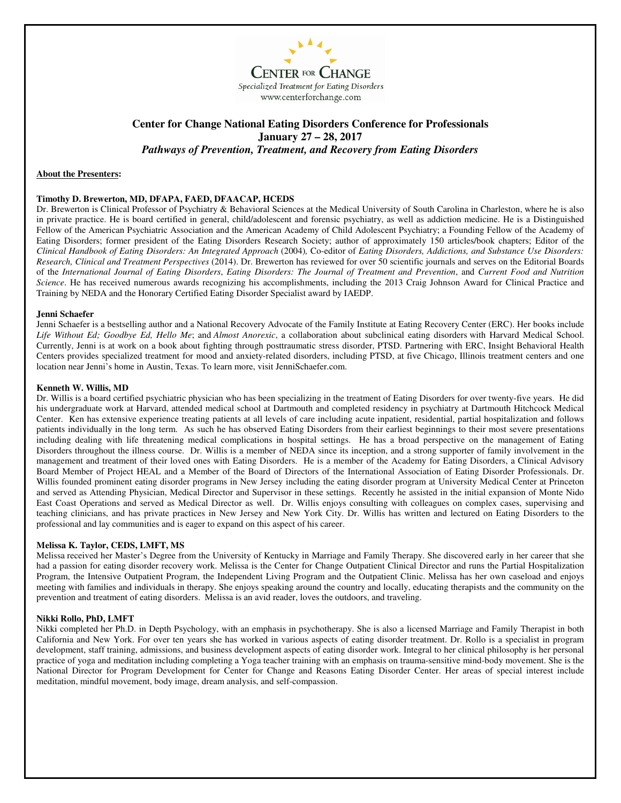

# **Center for Change National Eating Disorders Conference for Professionals January 27 – 28, 2017**  *Pathways of Prevention, Treatment, and Recovery from Eating Disorders*

#### **About the Presenters:**

#### **Timothy D. Brewerton, MD, DFAPA, FAED, DFAACAP, HCEDS**

Dr. Brewerton is Clinical Professor of Psychiatry & Behavioral Sciences at the Medical University of South Carolina in Charleston, where he is also in private practice. He is board certified in general, child/adolescent and forensic psychiatry, as well as addiction medicine. He is a Distinguished Fellow of the American Psychiatric Association and the American Academy of Child Adolescent Psychiatry; a Founding Fellow of the Academy of Eating Disorders; former president of the Eating Disorders Research Society; author of approximately 150 articles/book chapters; Editor of the *Clinical Handbook of Eating Disorders: An Integrated Approach* (2004)*,* Co-editor of *Eating Disorders, Addictions, and Substance Use Disorders: Research, Clinical and Treatment Perspectives* (2014). Dr. Brewerton has reviewed for over 50 scientific journals and serves on the Editorial Boards of the *International Journal of Eating Disorders*, *Eating Disorders: The Journal of Treatment and Prevention*, and *Current Food and Nutrition Science*. He has received numerous awards recognizing his accomplishments, including the 2013 Craig Johnson Award for Clinical Practice and Training by NEDA and the Honorary Certified Eating Disorder Specialist award by IAEDP.

#### **Jenni Schaefer**

Jenni Schaefer is a bestselling author and a National Recovery Advocate of the Family Institute at Eating Recovery Center (ERC). Her books include *Life Without Ed; Goodbye Ed, Hello Me*; and *Almost Anorexic*, a collaboration about subclinical eating disorders with Harvard Medical School. Currently, Jenni is at work on a book about fighting through posttraumatic stress disorder, PTSD. Partnering with ERC, Insight Behavioral Health Centers provides specialized treatment for mood and anxiety-related disorders, including PTSD, at five Chicago, Illinois treatment centers and one location near Jenni's home in Austin, Texas. To learn more, visit JenniSchaefer.com.

#### **Kenneth W. Willis, MD**

Dr. Willis is a board certified psychiatric physician who has been specializing in the treatment of Eating Disorders for over twenty-five years. He did his undergraduate work at Harvard, attended medical school at Dartmouth and completed residency in psychiatry at Dartmouth Hitchcock Medical Center. Ken has extensive experience treating patients at all levels of care including acute inpatient, residential, partial hospitalization and follows patients individually in the long term. As such he has observed Eating Disorders from their earliest beginnings to their most severe presentations including dealing with life threatening medical complications in hospital settings. He has a broad perspective on the management of Eating Disorders throughout the illness course. Dr. Willis is a member of NEDA since its inception, and a strong supporter of family involvement in the management and treatment of their loved ones with Eating Disorders. He is a member of the Academy for Eating Disorders, a Clinical Advisory Board Member of Project HEAL and a Member of the Board of Directors of the International Association of Eating Disorder Professionals. Dr. Willis founded prominent eating disorder programs in New Jersey including the eating disorder program at University Medical Center at Princeton and served as Attending Physician, Medical Director and Supervisor in these settings. Recently he assisted in the initial expansion of Monte Nido East Coast Operations and served as Medical Director as well. Dr. Willis enjoys consulting with colleagues on complex cases, supervising and teaching clinicians, and has private practices in New Jersey and New York City. Dr. Willis has written and lectured on Eating Disorders to the professional and lay communities and is eager to expand on this aspect of his career.

#### **Melissa K. Taylor, CEDS, LMFT, MS**

Melissa received her Master's Degree from the University of Kentucky in Marriage and Family Therapy. She discovered early in her career that she had a passion for eating disorder recovery work. Melissa is the Center for Change Outpatient Clinical Director and runs the Partial Hospitalization Program, the Intensive Outpatient Program, the Independent Living Program and the Outpatient Clinic. Melissa has her own caseload and enjoys meeting with families and individuals in therapy. She enjoys speaking around the country and locally, educating therapists and the community on the prevention and treatment of eating disorders. Melissa is an avid reader, loves the outdoors, and traveling.

#### **Nikki Rollo, PhD, LMFT**

Nikki completed her Ph.D. in Depth Psychology, with an emphasis in psychotherapy. She is also a licensed Marriage and Family Therapist in both California and New York. For over ten years she has worked in various aspects of eating disorder treatment. Dr. Rollo is a specialist in program development, staff training, admissions, and business development aspects of eating disorder work. Integral to her clinical philosophy is her personal practice of yoga and meditation including completing a Yoga teacher training with an emphasis on trauma-sensitive mind-body movement. She is the National Director for Program Development for Center for Change and Reasons Eating Disorder Center. Her areas of special interest include meditation, mindful movement, body image, dream analysis, and self-compassion.